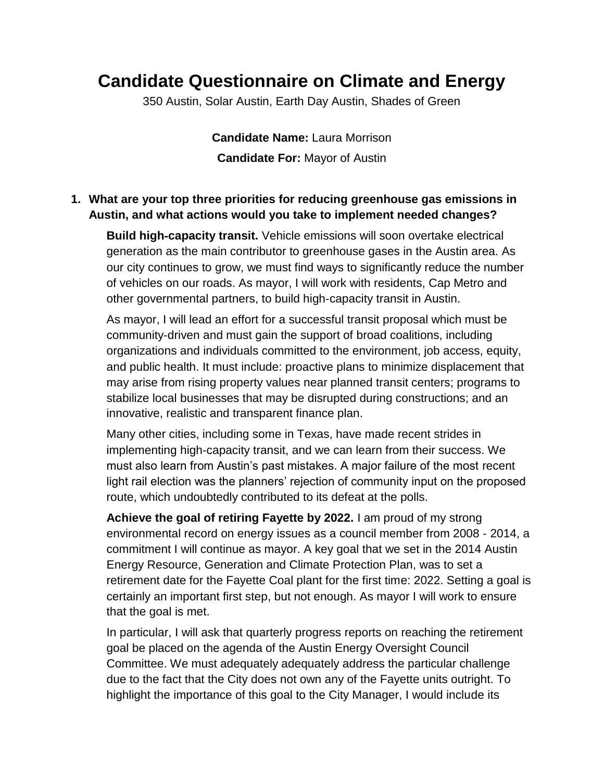## **Candidate Questionnaire on Climate and Energy**

350 Austin, Solar Austin, Earth Day Austin, Shades of Green

**Candidate Name:** Laura Morrison **Candidate For:** Mayor of Austin

## **1. What are your top three priorities for reducing greenhouse gas emissions in Austin, and what actions would you take to implement needed changes?**

**Build high**‐**capacity transit.** Vehicle emissions will soon overtake electrical generation as the main contributor to greenhouse gases in the Austin area. As our city continues to grow, we must find ways to significantly reduce the number of vehicles on our roads. As mayor, I will work with residents, Cap Metro and other governmental partners, to build high‐capacity transit in Austin.

As mayor, I will lead an effort for a successful transit proposal which must be community‐driven and must gain the support of broad coalitions, including organizations and individuals committed to the environment, job access, equity, and public health. It must include: proactive plans to minimize displacement that may arise from rising property values near planned transit centers; programs to stabilize local businesses that may be disrupted during constructions; and an innovative, realistic and transparent finance plan.

Many other cities, including some in Texas, have made recent strides in implementing high‐capacity transit, and we can learn from their success. We must also learn from Austin's past mistakes. A major failure of the most recent light rail election was the planners' rejection of community input on the proposed route, which undoubtedly contributed to its defeat at the polls.

**Achieve the goal of retiring Fayette by 2022.** I am proud of my strong environmental record on energy issues as a council member from 2008 ‐ 2014, a commitment I will continue as mayor. A key goal that we set in the 2014 Austin Energy Resource, Generation and Climate Protection Plan, was to set a retirement date for the Fayette Coal plant for the first time: 2022. Setting a goal is certainly an important first step, but not enough. As mayor I will work to ensure that the goal is met.

In particular, I will ask that quarterly progress reports on reaching the retirement goal be placed on the agenda of the Austin Energy Oversight Council Committee. We must adequately adequately address the particular challenge due to the fact that the City does not own any of the Fayette units outright. To highlight the importance of this goal to the City Manager, I would include its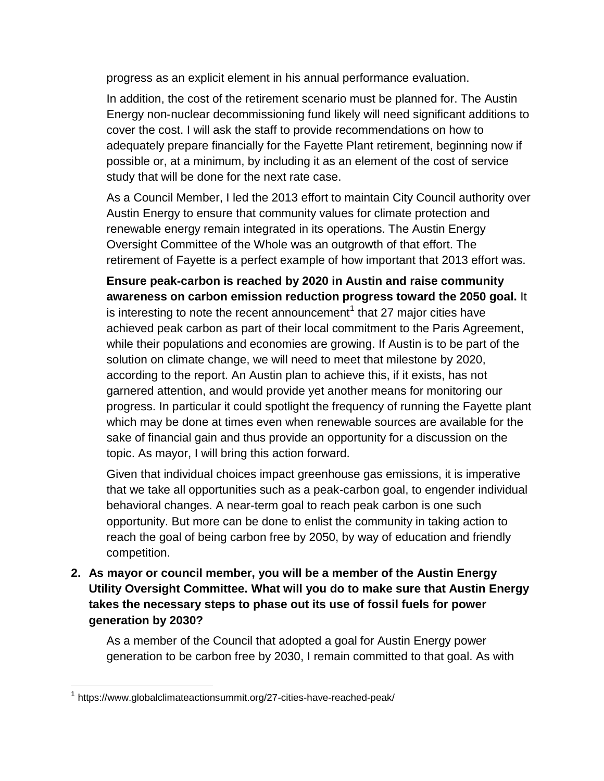progress as an explicit element in his annual performance evaluation.

In addition, the cost of the retirement scenario must be planned for. The Austin Energy non‐nuclear decommissioning fund likely will need significant additions to cover the cost. I will ask the staff to provide recommendations on how to adequately prepare financially for the Fayette Plant retirement, beginning now if possible or, at a minimum, by including it as an element of the cost of service study that will be done for the next rate case.

As a Council Member, I led the 2013 effort to maintain City Council authority over Austin Energy to ensure that community values for climate protection and renewable energy remain integrated in its operations. The Austin Energy Oversight Committee of the Whole was an outgrowth of that effort. The retirement of Fayette is a perfect example of how important that 2013 effort was.

**Ensure peak**‐**carbon is reached by 2020 in Austin and raise community awareness on carbon emission reduction progress toward the 2050 goal.** It is interesting to note the recent announcement<sup>1</sup> that 27 major cities have achieved peak carbon as part of their local commitment to the Paris Agreement, while their populations and economies are growing. If Austin is to be part of the solution on climate change, we will need to meet that milestone by 2020, according to the report. An Austin plan to achieve this, if it exists, has not garnered attention, and would provide yet another means for monitoring our progress. In particular it could spotlight the frequency of running the Fayette plant which may be done at times even when renewable sources are available for the sake of financial gain and thus provide an opportunity for a discussion on the topic. As mayor, I will bring this action forward.

Given that individual choices impact greenhouse gas emissions, it is imperative that we take all opportunities such as a peak‐carbon goal, to engender individual behavioral changes. A near-term goal to reach peak carbon is one such opportunity. But more can be done to enlist the community in taking action to reach the goal of being carbon free by 2050, by way of education and friendly competition.

**2. As mayor or council member, you will be a member of the Austin Energy Utility Oversight Committee. What will you do to make sure that Austin Energy takes the necessary steps to phase out its use of fossil fuels for power generation by 2030?**

As a member of the Council that adopted a goal for Austin Energy power generation to be carbon free by 2030, I remain committed to that goal. As with

<sup>&</sup>lt;sup>1</sup> https://www.globalclimateactionsummit.org/27-cities-have-reached-peak/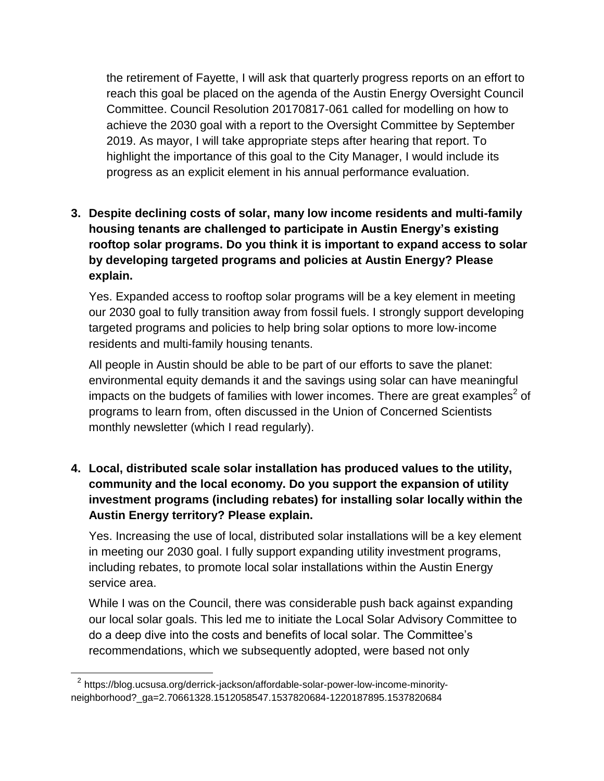the retirement of Fayette, I will ask that quarterly progress reports on an effort to reach this goal be placed on the agenda of the Austin Energy Oversight Council Committee. Council Resolution 20170817‐061 called for modelling on how to achieve the 2030 goal with a report to the Oversight Committee by September 2019. As mayor, I will take appropriate steps after hearing that report. To highlight the importance of this goal to the City Manager, I would include its progress as an explicit element in his annual performance evaluation.

**3. Despite declining costs of solar, many low income residents and multi-family housing tenants are challenged to participate in Austin Energy's existing rooftop solar programs. Do you think it is important to expand access to solar by developing targeted programs and policies at Austin Energy? Please explain.**

Yes. Expanded access to rooftop solar programs will be a key element in meeting our 2030 goal to fully transition away from fossil fuels. I strongly support developing targeted programs and policies to help bring solar options to more low‐income residents and multi‐family housing tenants.

All people in Austin should be able to be part of our efforts to save the planet: environmental equity demands it and the savings using solar can have meaningful impacts on the budgets of families with lower incomes. There are great examples<sup>2</sup> of programs to learn from, often discussed in the Union of Concerned Scientists monthly newsletter (which I read regularly).

**4. Local, distributed scale solar installation has produced values to the utility, community and the local economy. Do you support the expansion of utility investment programs (including rebates) for installing solar locally within the Austin Energy territory? Please explain.**

Yes. Increasing the use of local, distributed solar installations will be a key element in meeting our 2030 goal. I fully support expanding utility investment programs, including rebates, to promote local solar installations within the Austin Energy service area.

While I was on the Council, there was considerable push back against expanding our local solar goals. This led me to initiate the Local Solar Advisory Committee to do a deep dive into the costs and benefits of local solar. The Committee's recommendations, which we subsequently adopted, were based not only

 $\overline{a}$ 

<sup>&</sup>lt;sup>2</sup> https://blog.ucsusa.org/derrick-jackson/affordable-solar-power-low-income-minorityneighborhood?\_ga=2.70661328.1512058547.1537820684-1220187895.1537820684